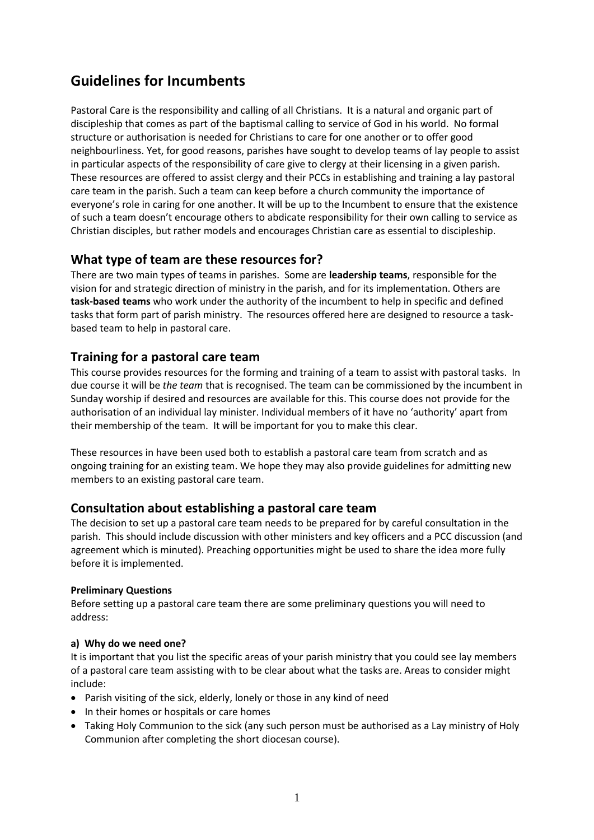# **Guidelines for Incumbents**

Pastoral Care is the responsibility and calling of all Christians. It is a natural and organic part of discipleship that comes as part of the baptismal calling to service of God in his world. No formal structure or authorisation is needed for Christians to care for one another or to offer good neighbourliness. Yet, for good reasons, parishes have sought to develop teams of lay people to assist in particular aspects of the responsibility of care give to clergy at their licensing in a given parish. These resources are offered to assist clergy and their PCCs in establishing and training a lay pastoral care team in the parish. Such a team can keep before a church community the importance of everyone's role in caring for one another. It will be up to the Incumbent to ensure that the existence of such a team doesn't encourage others to abdicate responsibility for their own calling to service as Christian disciples, but rather models and encourages Christian care as essential to discipleship.

# **What type of team are these resources for?**

There are two main types of teams in parishes. Some are **leadership teams**, responsible for the vision for and strategic direction of ministry in the parish, and for its implementation. Others are **task-based teams** who work under the authority of the incumbent to help in specific and defined tasks that form part of parish ministry. The resources offered here are designed to resource a taskbased team to help in pastoral care.

# **Training for a pastoral care team**

This course provides resources for the forming and training of a team to assist with pastoral tasks. In due course it will be *the team* that is recognised. The team can be commissioned by the incumbent in Sunday worship if desired and resources are available for this. This course does not provide for the authorisation of an individual lay minister. Individual members of it have no 'authority' apart from their membership of the team. It will be important for you to make this clear.

These resources in have been used both to establish a pastoral care team from scratch and as ongoing training for an existing team. We hope they may also provide guidelines for admitting new members to an existing pastoral care team.

# **Consultation about establishing a pastoral care team**

The decision to set up a pastoral care team needs to be prepared for by careful consultation in the parish. This should include discussion with other ministers and key officers and a PCC discussion (and agreement which is minuted). Preaching opportunities might be used to share the idea more fully before it is implemented.

# **Preliminary Questions**

Before setting up a pastoral care team there are some preliminary questions you will need to address:

# **a) Why do we need one?**

It is important that you list the specific areas of your parish ministry that you could see lay members of a pastoral care team assisting with to be clear about what the tasks are. Areas to consider might include:

- Parish visiting of the sick, elderly, lonely or those in any kind of need
- In their homes or hospitals or care homes
- Taking Holy Communion to the sick (any such person must be authorised as a Lay ministry of Holy Communion after completing the short diocesan course).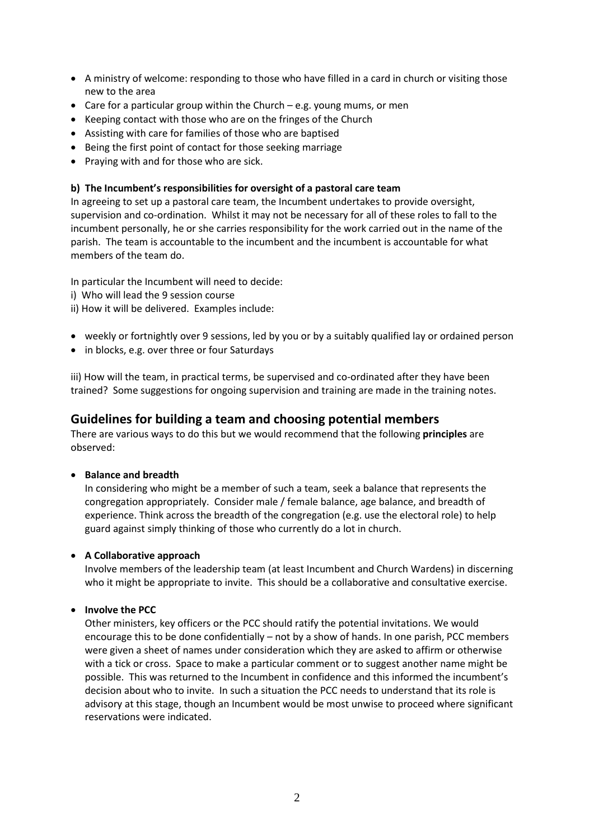- A ministry of welcome: responding to those who have filled in a card in church or visiting those new to the area
- Care for a particular group within the Church e.g. young mums, or men
- Keeping contact with those who are on the fringes of the Church
- Assisting with care for families of those who are baptised
- Being the first point of contact for those seeking marriage
- Praying with and for those who are sick.

#### **b) The Incumbent's responsibilities for oversight of a pastoral care team**

In agreeing to set up a pastoral care team, the Incumbent undertakes to provide oversight, supervision and co-ordination. Whilst it may not be necessary for all of these roles to fall to the incumbent personally, he or she carries responsibility for the work carried out in the name of the parish. The team is accountable to the incumbent and the incumbent is accountable for what members of the team do.

In particular the Incumbent will need to decide:

- i) Who will lead the 9 session course
- ii) How it will be delivered. Examples include:
- weekly or fortnightly over 9 sessions, led by you or by a suitably qualified lay or ordained person
- in blocks, e.g. over three or four Saturdays

iii) How will the team, in practical terms, be supervised and co-ordinated after they have been trained? Some suggestions for ongoing supervision and training are made in the training notes.

# **Guidelines for building a team and choosing potential members**

There are various ways to do this but we would recommend that the following **principles** are observed:

#### • **Balance and breadth**

In considering who might be a member of such a team, seek a balance that represents the congregation appropriately. Consider male / female balance, age balance, and breadth of experience. Think across the breadth of the congregation (e.g. use the electoral role) to help guard against simply thinking of those who currently do a lot in church.

#### • **A Collaborative approach**

Involve members of the leadership team (at least Incumbent and Church Wardens) in discerning who it might be appropriate to invite. This should be a collaborative and consultative exercise.

#### • **Involve the PCC**

Other ministers, key officers or the PCC should ratify the potential invitations. We would encourage this to be done confidentially – not by a show of hands. In one parish, PCC members were given a sheet of names under consideration which they are asked to affirm or otherwise with a tick or cross. Space to make a particular comment or to suggest another name might be possible. This was returned to the Incumbent in confidence and this informed the incumbent's decision about who to invite. In such a situation the PCC needs to understand that its role is advisory at this stage, though an Incumbent would be most unwise to proceed where significant reservations were indicated.